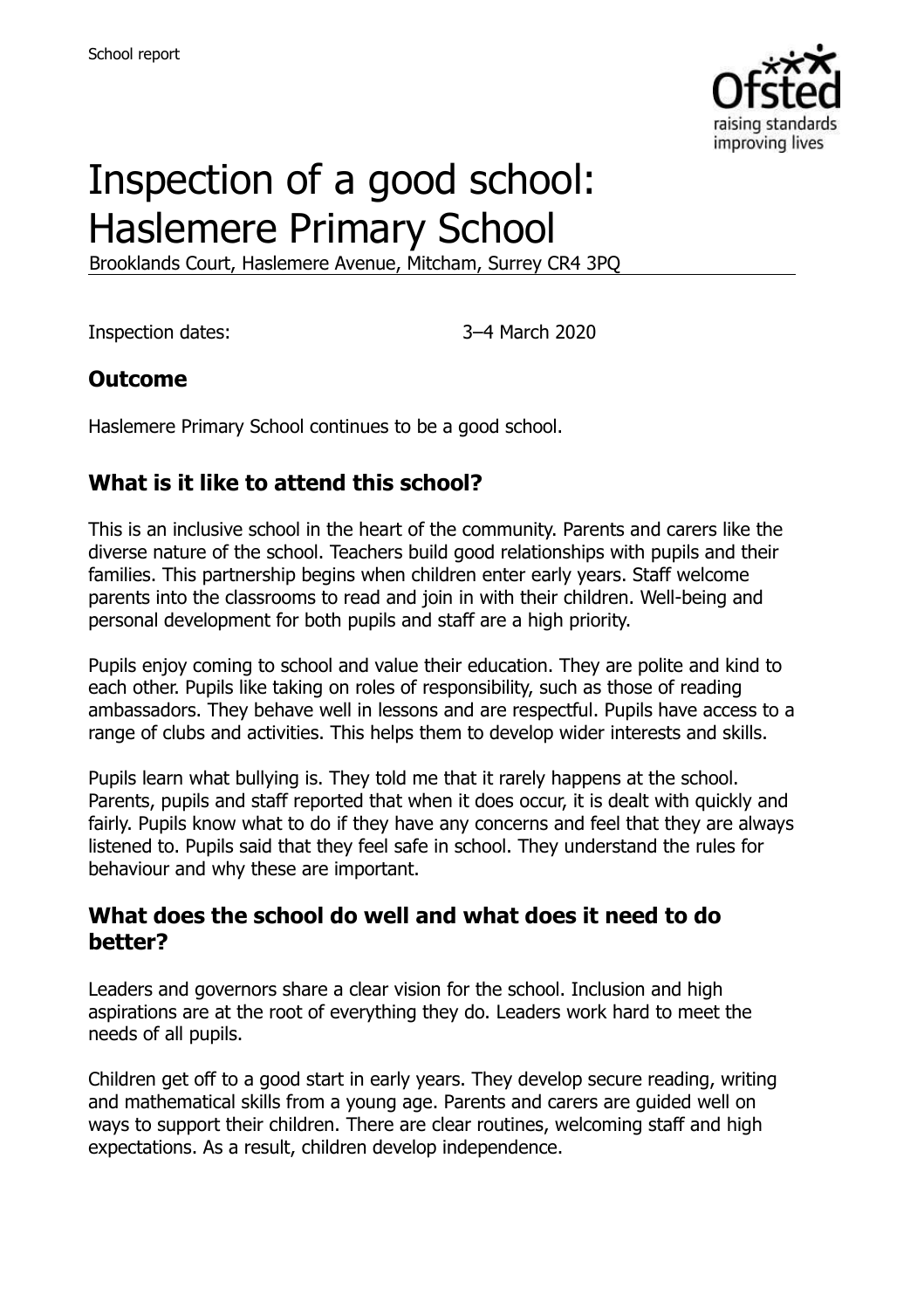

# Inspection of a good school: Haslemere Primary School

Brooklands Court, Haslemere Avenue, Mitcham, Surrey CR4 3PQ

Inspection dates: 3–4 March 2020

#### **Outcome**

Haslemere Primary School continues to be a good school.

# **What is it like to attend this school?**

This is an inclusive school in the heart of the community. Parents and carers like the diverse nature of the school. Teachers build good relationships with pupils and their families. This partnership begins when children enter early years. Staff welcome parents into the classrooms to read and join in with their children. Well-being and personal development for both pupils and staff are a high priority.

Pupils enjoy coming to school and value their education. They are polite and kind to each other. Pupils like taking on roles of responsibility, such as those of reading ambassadors. They behave well in lessons and are respectful. Pupils have access to a range of clubs and activities. This helps them to develop wider interests and skills.

Pupils learn what bullying is. They told me that it rarely happens at the school. Parents, pupils and staff reported that when it does occur, it is dealt with quickly and fairly. Pupils know what to do if they have any concerns and feel that they are always listened to. Pupils said that they feel safe in school. They understand the rules for behaviour and why these are important.

#### **What does the school do well and what does it need to do better?**

Leaders and governors share a clear vision for the school. Inclusion and high aspirations are at the root of everything they do. Leaders work hard to meet the needs of all pupils.

Children get off to a good start in early years. They develop secure reading, writing and mathematical skills from a young age. Parents and carers are guided well on ways to support their children. There are clear routines, welcoming staff and high expectations. As a result, children develop independence.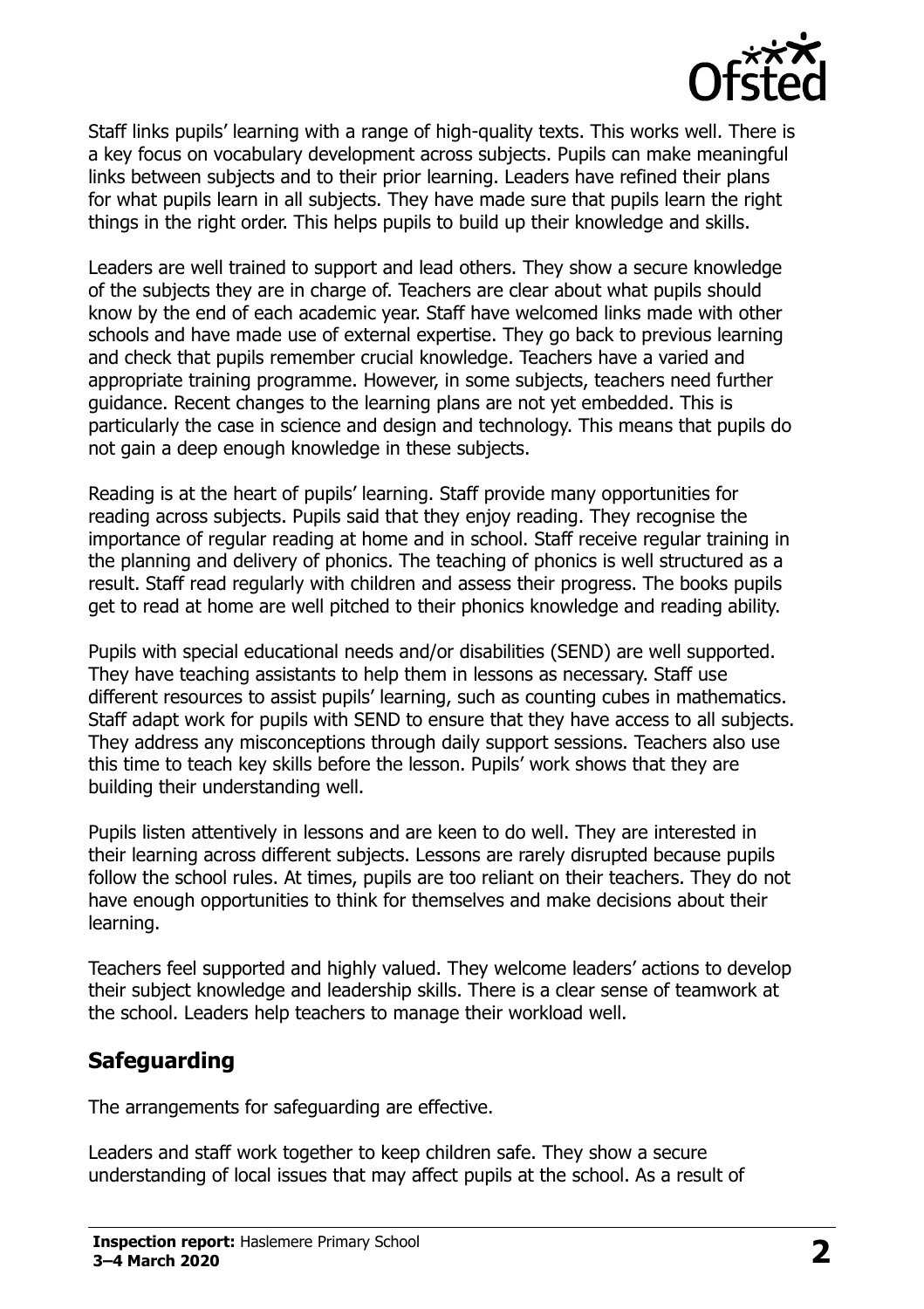

Staff links pupils' learning with a range of high-quality texts. This works well. There is a key focus on vocabulary development across subjects. Pupils can make meaningful links between subjects and to their prior learning. Leaders have refined their plans for what pupils learn in all subjects. They have made sure that pupils learn the right things in the right order. This helps pupils to build up their knowledge and skills.

Leaders are well trained to support and lead others. They show a secure knowledge of the subjects they are in charge of. Teachers are clear about what pupils should know by the end of each academic year. Staff have welcomed links made with other schools and have made use of external expertise. They go back to previous learning and check that pupils remember crucial knowledge. Teachers have a varied and appropriate training programme. However, in some subjects, teachers need further guidance. Recent changes to the learning plans are not yet embedded. This is particularly the case in science and design and technology. This means that pupils do not gain a deep enough knowledge in these subjects.

Reading is at the heart of pupils' learning. Staff provide many opportunities for reading across subjects. Pupils said that they enjoy reading. They recognise the importance of regular reading at home and in school. Staff receive regular training in the planning and delivery of phonics. The teaching of phonics is well structured as a result. Staff read regularly with children and assess their progress. The books pupils get to read at home are well pitched to their phonics knowledge and reading ability.

Pupils with special educational needs and/or disabilities (SEND) are well supported. They have teaching assistants to help them in lessons as necessary. Staff use different resources to assist pupils' learning, such as counting cubes in mathematics. Staff adapt work for pupils with SEND to ensure that they have access to all subjects. They address any misconceptions through daily support sessions. Teachers also use this time to teach key skills before the lesson. Pupils' work shows that they are building their understanding well.

Pupils listen attentively in lessons and are keen to do well. They are interested in their learning across different subjects. Lessons are rarely disrupted because pupils follow the school rules. At times, pupils are too reliant on their teachers. They do not have enough opportunities to think for themselves and make decisions about their learning.

Teachers feel supported and highly valued. They welcome leaders' actions to develop their subject knowledge and leadership skills. There is a clear sense of teamwork at the school. Leaders help teachers to manage their workload well.

# **Safeguarding**

The arrangements for safeguarding are effective.

Leaders and staff work together to keep children safe. They show a secure understanding of local issues that may affect pupils at the school. As a result of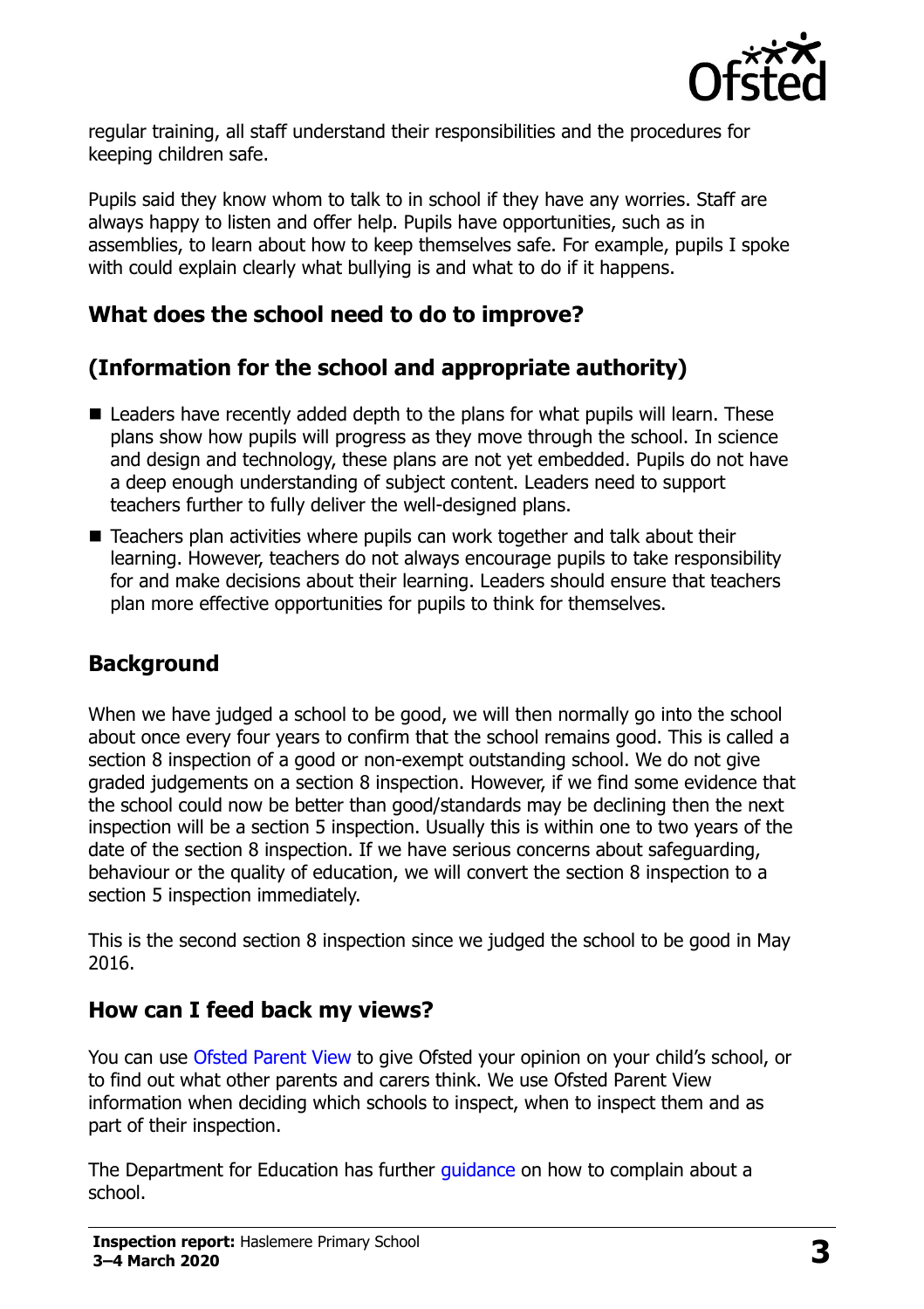

regular training, all staff understand their responsibilities and the procedures for keeping children safe.

Pupils said they know whom to talk to in school if they have any worries. Staff are always happy to listen and offer help. Pupils have opportunities, such as in assemblies, to learn about how to keep themselves safe. For example, pupils I spoke with could explain clearly what bullying is and what to do if it happens.

### **What does the school need to do to improve?**

# **(Information for the school and appropriate authority)**

- Leaders have recently added depth to the plans for what pupils will learn. These plans show how pupils will progress as they move through the school. In science and design and technology, these plans are not yet embedded. Pupils do not have a deep enough understanding of subject content. Leaders need to support teachers further to fully deliver the well-designed plans.
- Teachers plan activities where pupils can work together and talk about their learning. However, teachers do not always encourage pupils to take responsibility for and make decisions about their learning. Leaders should ensure that teachers plan more effective opportunities for pupils to think for themselves.

# **Background**

When we have judged a school to be good, we will then normally go into the school about once every four years to confirm that the school remains good. This is called a section 8 inspection of a good or non-exempt outstanding school. We do not give graded judgements on a section 8 inspection. However, if we find some evidence that the school could now be better than good/standards may be declining then the next inspection will be a section 5 inspection. Usually this is within one to two years of the date of the section 8 inspection. If we have serious concerns about safeguarding, behaviour or the quality of education, we will convert the section 8 inspection to a section 5 inspection immediately.

This is the second section 8 inspection since we judged the school to be good in May 2016.

#### **How can I feed back my views?**

You can use [Ofsted Parent](https://parentview.ofsted.gov.uk/) View to give Ofsted your opinion on your child's school, or to find out what other parents and carers think. We use Ofsted Parent View information when deciding which schools to inspect, when to inspect them and as part of their inspection.

The Department for Education has further *guidance* on how to complain about a school.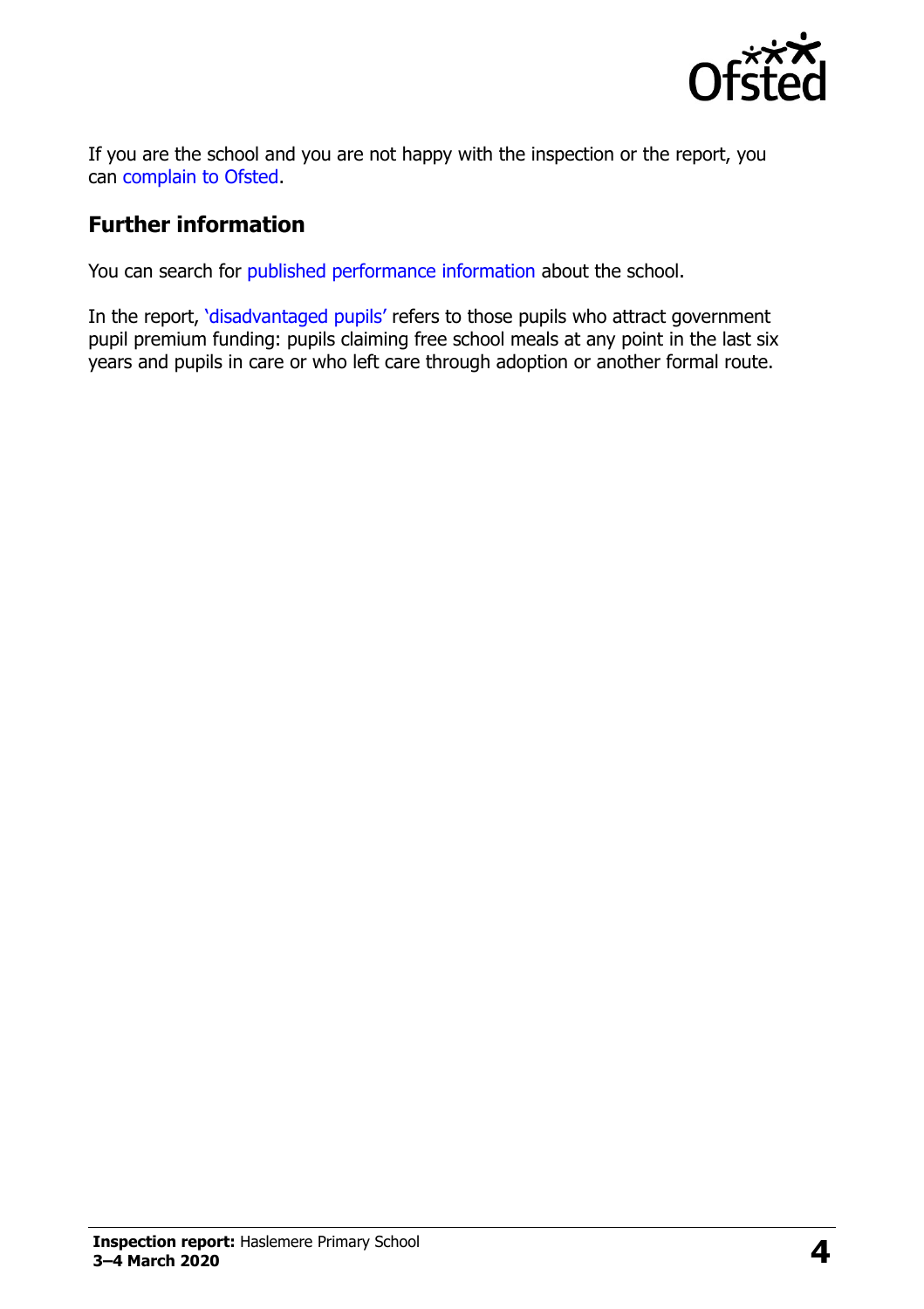

If you are the school and you are not happy with the inspection or the report, you can [complain to Ofsted.](https://www.gov.uk/complain-ofsted-report)

#### **Further information**

You can search for [published performance information](http://www.compare-school-performance.service.gov.uk/) about the school.

In the report, '[disadvantaged pupils](http://www.gov.uk/guidance/pupil-premium-information-for-schools-and-alternative-provision-settings)' refers to those pupils who attract government pupil premium funding: pupils claiming free school meals at any point in the last six years and pupils in care or who left care through adoption or another formal route.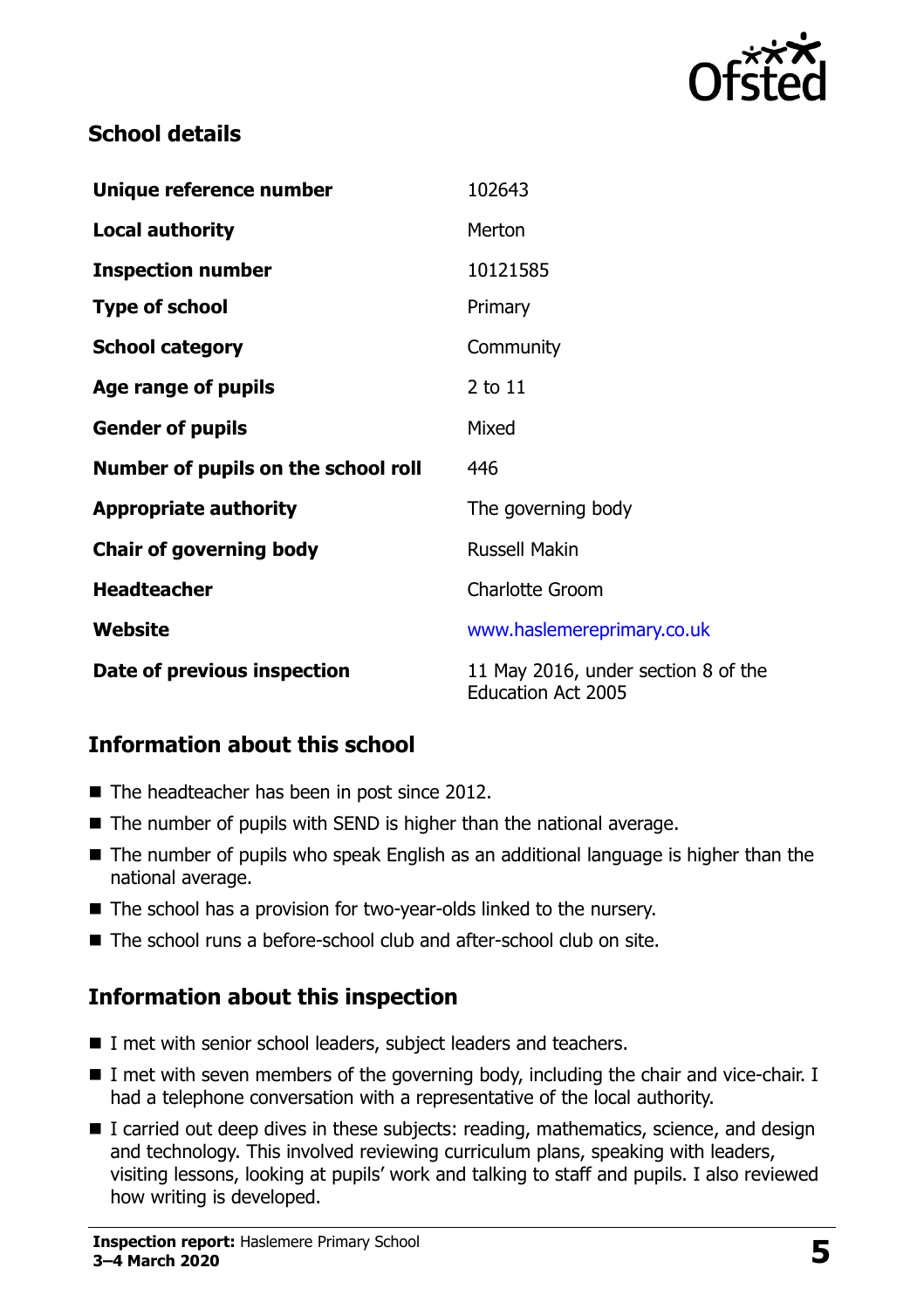

### **School details**

| Unique reference number             | 102643                                                           |
|-------------------------------------|------------------------------------------------------------------|
| <b>Local authority</b>              | Merton                                                           |
| <b>Inspection number</b>            | 10121585                                                         |
| <b>Type of school</b>               | Primary                                                          |
| <b>School category</b>              | Community                                                        |
| Age range of pupils                 | 2 to 11                                                          |
| <b>Gender of pupils</b>             | Mixed                                                            |
| Number of pupils on the school roll | 446                                                              |
| <b>Appropriate authority</b>        | The governing body                                               |
| <b>Chair of governing body</b>      | <b>Russell Makin</b>                                             |
| <b>Headteacher</b>                  | <b>Charlotte Groom</b>                                           |
| Website                             | www.haslemereprimary.co.uk                                       |
| Date of previous inspection         | 11 May 2016, under section 8 of the<br><b>Education Act 2005</b> |

# **Information about this school**

- The headteacher has been in post since 2012.
- The number of pupils with SEND is higher than the national average.
- The number of pupils who speak English as an additional language is higher than the national average.
- The school has a provision for two-year-olds linked to the nursery.
- The school runs a before-school club and after-school club on site.

# **Information about this inspection**

- I met with senior school leaders, subject leaders and teachers.
- I met with seven members of the governing body, including the chair and vice-chair. I had a telephone conversation with a representative of the local authority.
- I carried out deep dives in these subjects: reading, mathematics, science, and design and technology. This involved reviewing curriculum plans, speaking with leaders, visiting lessons, looking at pupils' work and talking to staff and pupils. I also reviewed how writing is developed.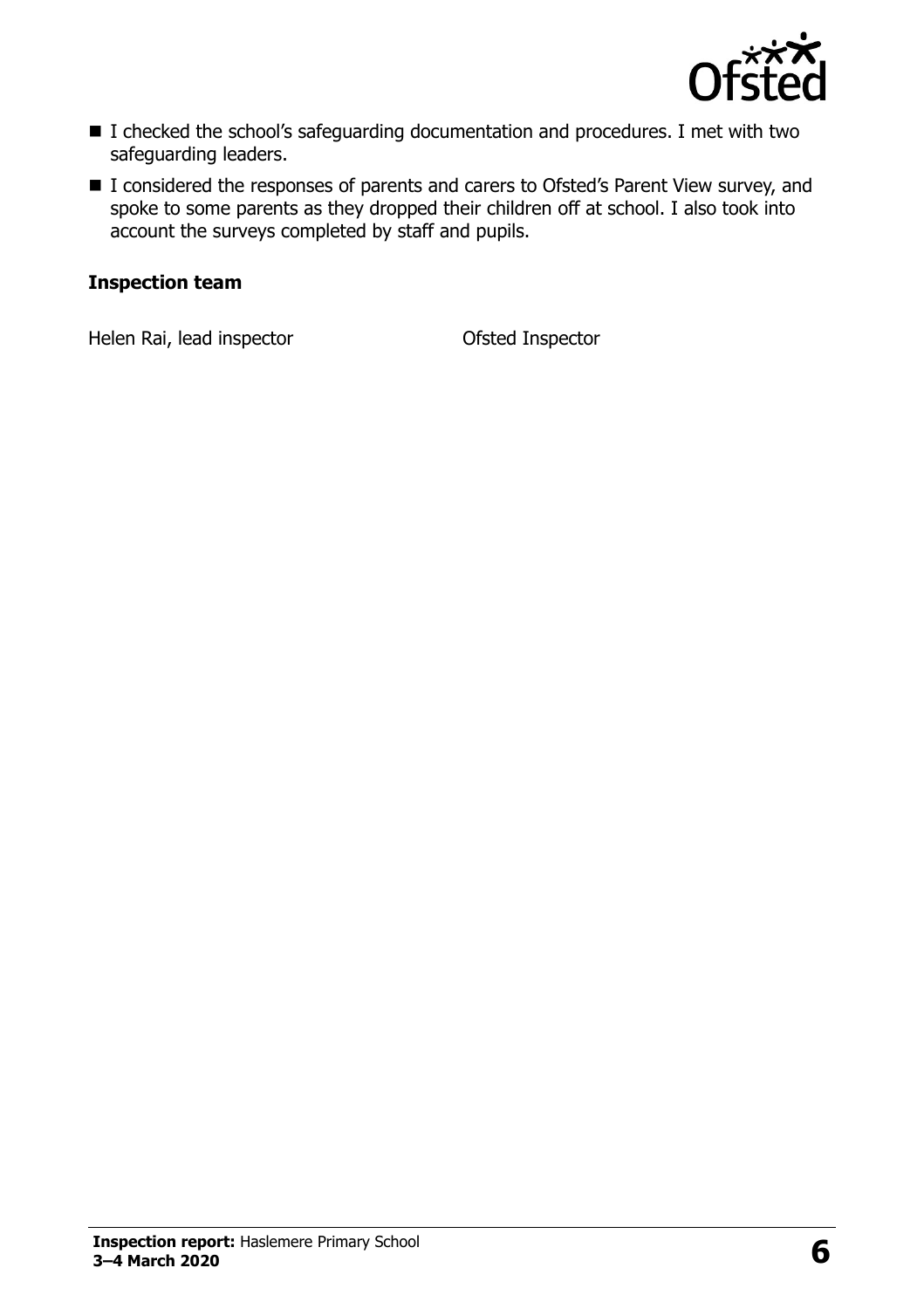

- I checked the school's safeguarding documentation and procedures. I met with two safeguarding leaders.
- I considered the responses of parents and carers to Ofsted's Parent View survey, and spoke to some parents as they dropped their children off at school. I also took into account the surveys completed by staff and pupils.

#### **Inspection team**

Helen Rai, lead inspector **Contact Contact Contact Contact Contact Contact Contact Contact Contact Contact Contact Contact Contact Contact Contact Contact Contact Contact Contact Contact Contact Contact Contact Contact Con**